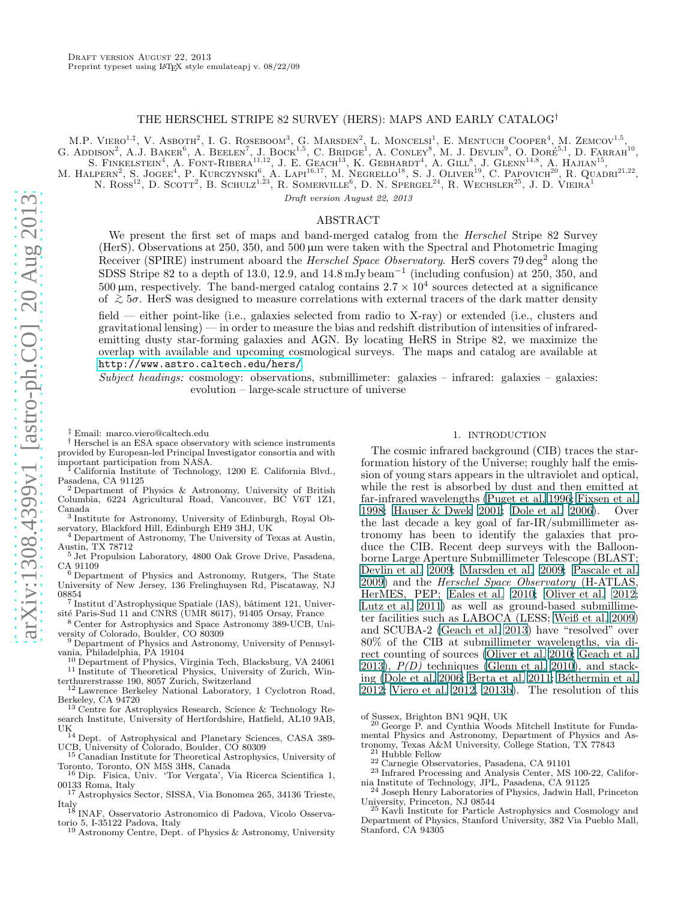# THE HERSCHEL STRIPE 82 SURVEY (HERS): MAPS AND EARLY CATALOG†

M.P. VIERO<sup>1,‡</sup>, V. ASBOTH<sup>2</sup>, I. G. ROSEBOOM<sup>3</sup>, G. MARSDEN<sup>2</sup>, L. MONCELSI<sup>1</sup>, E. MENTUCH COOPER<sup>4</sup>, M. ZEMCOV<sup>1,5</sup>, G. ADDISON<sup>2</sup>, A.J. BAKER<sup>6</sup>, A. BEELEN<sup>7</sup>, J. BOCK<sup>1,5</sup>, C. BRIDGE<sup>1</sup>, A. CONLEY<sup>8</sup>, M. J. DEVLIN<sup>9</sup>, O. DORÉ<sup>51</sup>, D. FARRAH<sup>10</sup>, S. FINKELSTEIN<sup>4</sup>, A. FONT-RIBERA<sup>11,12</sup>, J. E. GEACH<sup>13</sup>, K. GEBHARDT<sup>4</sup>, A. GILL<sup>8</sup>, J. GLENN<sup>14,8</sup>, A. HAJIAN<sup>15</sup>, M. HALPERN<sup>2</sup>, S. JOGEE<sup>4</sup>, P. KURCZYNSKI<sup>6</sup>, A. LAPI<sup>16,17</sup>, M. NEGRELLO<sup>18</sup>, S. J. OLIVER<sup>19</sup>, C. PAPOVICH<sup>20</sup>, R. QUADRI<sup>21,22</sup>,

N. ROSS<sup>12</sup>, D. SCOTT<sup>2</sup>, B. SCHULZ<sup>1,23</sup>, R. SOMERVILLE<sup>6</sup>, D. N. SPERGEL<sup>24</sup>, R. WECHSLER<sup>25</sup>, J. D. VIEIRA<sup>1</sup>

Draft version August 22, 2013

## ABSTRACT

We present the first set of maps and band-merged catalog from the *Herschel* Stripe 82 Survey (HerS). Observations at 250, 350, and 500 µm were taken with the Spectral and Photometric Imaging Receiver (SPIRE) instrument aboard the *Herschel Space Observatory*. HerS covers 79 deg<sup>2</sup> along the SDSS Stripe 82 to a depth of 13.0, 12.9, and  $14.8 \,\mathrm{mJy\,beam^{-1}}$  (including confusion) at 250, 350, and  $500 \mu m$ , respectively. The band-merged catalog contains  $2.7 \times 10^4$  sources detected at a significance of <sup>&</sup>gt;<sup>∼</sup> <sup>5</sup>σ. HerS was designed to measure correlations with external tracers of the dark matter density

field — either point-like (i.e., galaxies selected from radio to X-ray) or extended (i.e., clusters and gravitational lensing) — in order to measure the bias and redshift distribution of intensities of infraredemitting dusty star-forming galaxies and AGN. By locating HeRS in Stripe 82, we maximize the overlap with available and upcoming cosmological surveys. The maps and catalog are available at <http://www.astro.caltech.edu/hers/>.

Subject headings: cosmology: observations, submillimeter: galaxies – infrared: galaxies – galaxies: evolution – large-scale structure of universe

‡ Email: marco.viero@caltech.edu

† Herschel is an ESA space observatory with science instruments provided by European-led Principal Investigator consortia and with important participation from NASA.

<sup>1</sup> California Institute of Technology, 1200 E. California Blvd., Pasadena, CA 91125

<sup>2</sup> Department of Physics & Astronomy, University of British Columbia, 6224 Agricultural Road, Vancouver, BC V6T 1Z1, Canada

3 Institute for Astronomy, University of Edinburgh, Royal Observatory, Blackford Hill, Edinburgh EH9 3HJ, UK

<sup>4</sup> Department of Astronomy, The University of Texas at Austin, Austin, TX 78712

<sup>5</sup> Jet Propulsion Laboratory, 4800 Oak Grove Drive, Pasadena, CA 91109 <sup>6</sup> Department of Physics and Astronomy, Rutgers, The State

University of New Jersey, 136 Frelinghuysen Rd, Piscataway, NJ

08854<br><sup>7</sup> Institut d'Astrophysique Spatiale (IAS), bâtiment 121, Université Paris-Sud 11 and CNRS (UMR 8617), 91405 Orsay, France

<sup>8</sup> Center for Astrophysics and Space Astronomy 389-UCB, University of Colorado, Boulder, CO 80309

<sup>9</sup> Department of Physics and Astronomy, University of Pennsylvania, Philadelphia, PA 19104

<sup>10</sup> Department of Physics, Virginia Tech, Blacksburg, VA 24061 <sup>11</sup> Institute of Theoretical Physics, University of Zurich, Win-

terthurerstrasse 190, 8057 Zurich, Switzerland <sup>12</sup> Lawrence Berkeley National Laboratory, 1 Cyclotron Road, Berkeley, CA 94720

<sup>13</sup> Centre for Astrophysics Research, Science & Technology Research Institute, University of Hertfordshire, Hatfield, AL10 9AB,

UK <sup>14</sup> Dept. of Astrophysical and Planetary Sciences, CASA 389- UCB, University of Colorado, Boulder, CO 80309

<sup>15</sup> Canadian Institute for Theoretical Astrophysics, University of Toronto, Toronto, ON M5S 3H8, Canada

<sup>16</sup> Dip. Fisica, Univ. 'Tor Vergata', Via Ricerca Scientifica 1, 00133 Roma, Italy

<sup>17</sup> Astrophysics Sector, SISSA, Via Bonomea 265, 34136 Trieste,

Italy <sup>18</sup> INAF, Osservatorio Astronomico di Padova, Vicolo Osservatorio 5, I-35122 Padova, Italy

<sup>19</sup> Astronomy Centre, Dept. of Physics & Astronomy, University

## 1. INTRODUCTION

The cosmic infrared background (CIB) traces the starformation history of the Universe; roughly half the emission of young stars appears in the ultraviolet and optical, while the rest is absorbed by dust and then emitted at far-infrared wavelengths [\(Puget et al. 1996;](#page-8-0) [Fixsen et al.](#page-8-1) [1998;](#page-8-1) [Hauser & Dwek 2001](#page-8-2); [Dole et al. 2006\)](#page-8-3). Over the last decade a key goal of far-IR/submillimeter astronomy has been to identify the galaxies that produce the CIB. Recent deep surveys with the Balloonborne Large Aperture Submillimeter Telescope (BLAST; [Devlin et al. 2009;](#page-7-0) [Marsden et al. 2009;](#page-8-4) [Pascale et al.](#page-8-5) [2009\)](#page-8-5) and the Herschel Space Observatory (H-ATLAS, HerMES, PEP; [Eales et al. 2010;](#page-8-6) [Oliver et al. 2012](#page-8-7); [Lutz et al. 2011\)](#page-8-8) as well as ground-based submillimeter facilities such as LABOCA (LESS; [Weiß et al. 2009](#page-9-0)) and SCUBA-2 [\(Geach et al. 2013](#page-8-9)) have "resolved" over 80% of the CIB at submillimeter wavelengths, via direct counting of sources [\(Oliver et al. 2010;](#page-8-10) [Geach et al.](#page-8-9) [2013\)](#page-8-9),  $P(D)$  techniques [\(Glenn et al. 2010\)](#page-8-11), and stack-ing [\(Dole et al. 2006](#page-8-3); [Berta et al. 2011;](#page-7-1) Béthermin et al. [2012;](#page-7-2) [Viero et al. 2012,](#page-8-12) [2013b\)](#page-9-1). The resolution of this

of Sussex, Brighton BN1 9QH, UK

<sup>20</sup> George P. and Cynthia Woods Mitchell Institute for Fundamental Physics and Astronomy, Department of Physics and Astronomy, Texas A&M University, College Station, TX 77843

 $^{21}$  Hubble Fellow

<sup>22</sup> Carnegie Observatories, Pasadena, CA 91101

<sup>23</sup> Infrared Processing and Analysis Center, MS 100-22, California Institute of Technology, JPL, Pasadena, CA 91125

<sup>24</sup> Joseph Henry Laboratories of Physics, Jadwin Hall, Princeton University, Princeton, NJ 08544

<sup>5</sup> Kavli Institute for Particle Astrophysics and Cosmology and Department of Physics, Stanford University, 382 Via Pueblo Mall, Stanford, CA 94305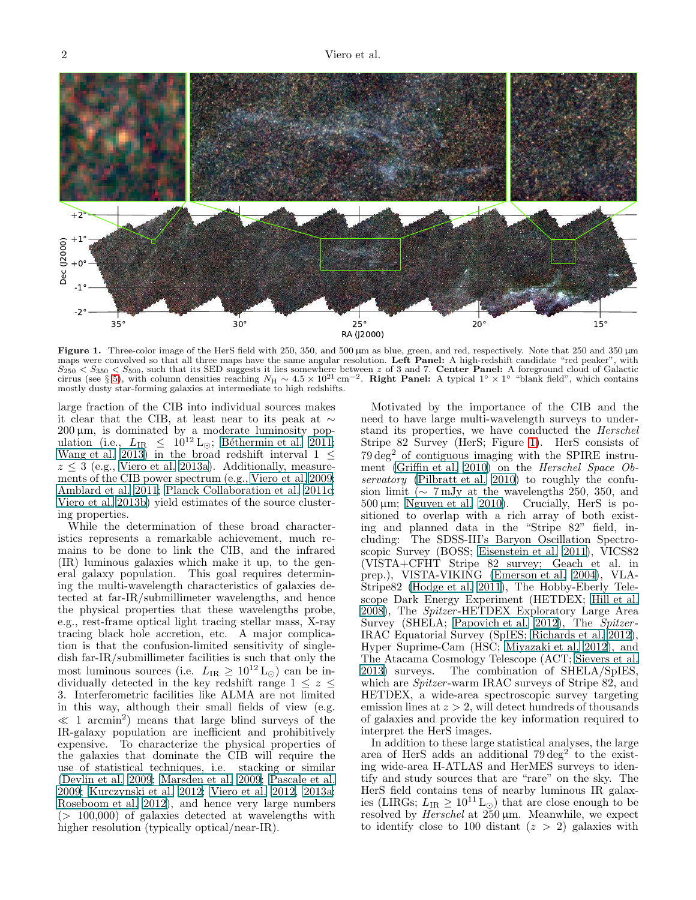

<span id="page-1-0"></span>Figure 1. Three-color image of the HerS field with 250, 350, and 500 µm as blue, green, and red, respectively. Note that 250 and 350 µm maps were convolved so that all three maps have the same angular resolution. Left Panel: A high-redshift candidate "red peaker", with  $S_{250} < S_{350} < S_{500}$ , such that its SED suggests it lies somewhere between z of 3 and 7. Center Panel: A foreground cloud of Galactic cirrus (see § [5\)](#page-5-0), with column densities reaching  $N_H \sim 4.5 \times 10^{21}$  cm<sup>-2</sup>. Right Panel: A typical 1° × 1° "blank field", which contains mostly dusty star-forming galaxies at intermediate to high redshifts.

large fraction of the CIB into individual sources makes it clear that the CIB, at least near to its peak at  $\sim$  $200 \,\mu \text{m}$ , is dominated by a moderate luminosity population (i.e.,  $L_{IR} \leq 10^{12} \text{ L}_{\odot}$ ; Béthermin et al. 2011; [Wang et al. 2013\)](#page-9-2) in the broad redshift interval  $1 \leq$  $z \leq 3$  (e.g., [Viero et al. 2013a](#page-9-3)). Additionally, measurements of the CIB power spectrum (e.g., [Viero et al. 2009;](#page-8-13) [Amblard et al. 2011;](#page-7-4) [Planck Collaboration et al. 2011c;](#page-8-14) [Viero et al. 2013b\)](#page-9-1) yield estimates of the source clustering properties.

While the determination of these broad characteristics represents a remarkable achievement, much remains to be done to link the CIB, and the infrared (IR) luminous galaxies which make it up, to the general galaxy population. This goal requires determining the multi-wavelength characteristics of galaxies detected at far-IR/submillimeter wavelengths, and hence the physical properties that these wavelengths probe, e.g., rest-frame optical light tracing stellar mass, X-ray tracing black hole accretion, etc. A major complication is that the confusion-limited sensitivity of singledish far-IR/submillimeter facilities is such that only the most luminous sources (i.e.  $L_{IR} \geq 10^{12} \, \text{L}_{\odot}$ ) can be individually detected in the key redshift range  $1 \leq z \leq$ 3. Interferometric facilities like ALMA are not limited in this way, although their small fields of view (e.g.  $\ll 1$  arcmin<sup>2</sup>) means that large blind surveys of the IR-galaxy population are inefficient and prohibitively expensive. To characterize the physical properties of the galaxies that dominate the CIB will require the use of statistical techniques, i.e. stacking or similar [\(Devlin et al. 2009;](#page-7-0) [Marsden et al. 2009;](#page-8-4) [Pascale et al.](#page-8-5) [2009;](#page-8-5) [Kurczynski et al. 2012;](#page-8-15) [Viero et al. 2012,](#page-8-12) [2013a;](#page-9-3) [Roseboom et al. 2012](#page-8-16)), and hence very large numbers  $(> 100,000)$  of galaxies detected at wavelengths with higher resolution (typically optical/near-IR).

Motivated by the importance of the CIB and the need to have large multi-wavelength surveys to understand its properties, we have conducted the Herschel Stripe 82 Survey (HerS; Figure [1\)](#page-1-0). HerS consists of  $79 \text{ deg}^2$  of contiguous imaging with the SPIRE instru-ment [\(Griffin et al. 2010\)](#page-8-17) on the *Herschel Space Ob*-servatory [\(Pilbratt et al. 2010\)](#page-8-18) to roughly the confusion limit ( $\sim$  7 mJy at the wavelengths 250, 350, and  $500 \,\mu m$ ; [Nguyen et al. 2010\)](#page-8-19). Crucially, HerS is positioned to overlap with a rich array of both existing and planned data in the "Stripe 82" field, including: The SDSS-III's Baryon Oscillation Spectroscopic Survey (BOSS; [Eisenstein et al. 2011\)](#page-8-20), VICS82  $(VISTA+CFHT$  Stripe 82 survey; Geach  $et$  al. in prep.), VISTA-VIKING [\(Emerson et al. 2004](#page-8-21)), VLA-Stripe82 [\(Hodge et al. 2011\)](#page-8-22), The Hobby-Eberly Telescope Dark Energy Experiment (HETDEX; [Hill et al.](#page-8-23) [2008\)](#page-8-23), The Spitzer -HETDEX Exploratory Large Area Survey (SHELA; [Papovich et al. 2012\)](#page-8-24), The Spitzer-IRAC Equatorial Survey (SpIES; [Richards et al. 2012](#page-8-25)), Hyper Suprime-Cam (HSC; [Miyazaki et al. 2012](#page-8-26)), and The Atacama Cosmology Telescope (ACT; [Sievers et al.](#page-8-27) [2013\)](#page-8-27) surveys. The combination of SHELA/SpIES, which are *Spitzer*-warm IRAC surveys of Stripe 82, and HETDEX, a wide-area spectroscopic survey targeting emission lines at  $z > 2$ , will detect hundreds of thousands of galaxies and provide the key information required to interpret the HerS images.

In addition to these large statistical analyses, the large area of HerS adds an additional  $79 \text{ deg}^2$  to the existing wide-area H-ATLAS and HerMES surveys to identify and study sources that are "rare" on the sky. The HerS field contains tens of nearby luminous IR galaxies (LIRGs;  $L_{IR} \geq 10^{11} \text{ L}_{\odot}$ ) that are close enough to be resolved by Herschel at  $250 \,\mu m$ . Meanwhile, we expect to identify close to 100 distant  $(z > 2)$  galaxies with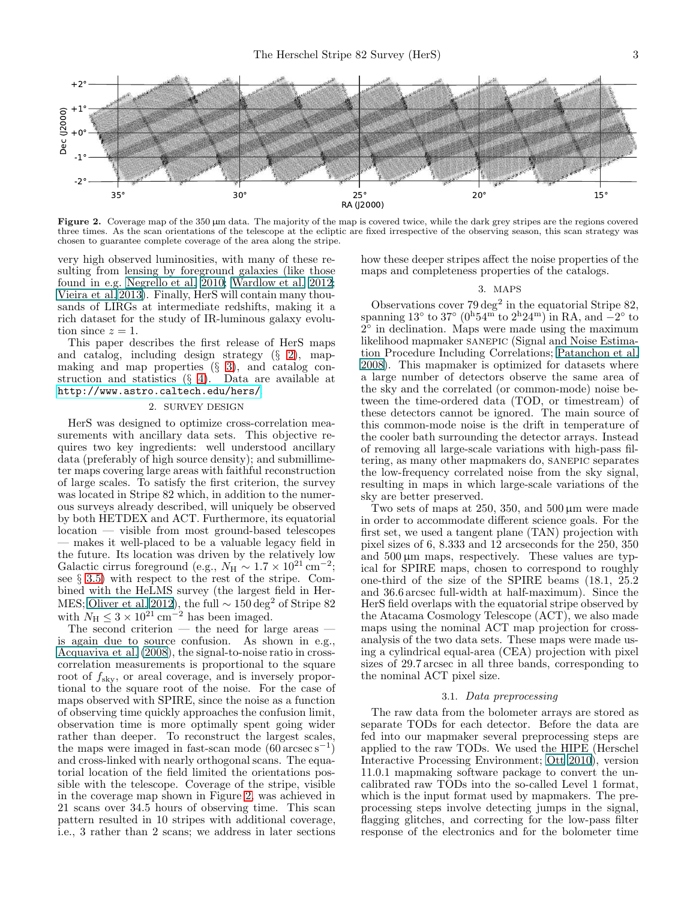

<span id="page-2-2"></span>Figure 2. Coverage map of the 350  $\mu$ m data. The majority of the map is covered twice, while the dark grey stripes are the regions covered three times. As the scan orientations of the telescope at the ecliptic are fixed irrespective of the observing season, this scan strategy was chosen to guarantee complete coverage of the area along the stripe.

very high observed luminosities, with many of these resulting from lensing by foreground galaxies (like those found in e.g. [Negrello et al. 2010](#page-8-28); [Wardlow et al. 2012;](#page-9-4) [Vieira et al. 2013\)](#page-8-29). Finally, HerS will contain many thousands of LIRGs at intermediate redshifts, making it a rich dataset for the study of IR-luminous galaxy evolution since  $z = 1$ .

This paper describes the first release of HerS maps and catalog, including design strategy (§ [2\)](#page-2-0), mapmaking and map properties  $(\S 3)$  $(\S 3)$ , and catalog construction and statistics  $(\S 4)$  $(\S 4)$ . Data are available at [http://www.astro.caltech.edu/hers/]( http://www.astro.caltech.edu/hers/).

# 2. SURVEY DESIGN

<span id="page-2-0"></span>HerS was designed to optimize cross-correlation measurements with ancillary data sets. This objective requires two key ingredients: well understood ancillary data (preferably of high source density); and submillimeter maps covering large areas with faithful reconstruction of large scales. To satisfy the first criterion, the survey was located in Stripe 82 which, in addition to the numerous surveys already described, will uniquely be observed by both HETDEX and ACT. Furthermore, its equatorial location — visible from most ground-based telescopes — makes it well-placed to be a valuable legacy field in the future. Its location was driven by the relatively low Galactic cirrus foreground (e.g.,  $N_H \sim 1.7 \times 10^{21} \text{ cm}^{-2}$ ; see § [3.5\)](#page-4-0) with respect to the rest of the stripe. Combined with the HeLMS survey (the largest field in Her-MES; [Oliver et al. 2012\)](#page-8-7), the full  $\sim 150 \text{ deg}^2$  of Stripe 82 with  $N_{\rm H} \leq 3 \times 10^{21} \text{ cm}^{-2}$  has been imaged.<br>The second criterion — the need for large areas —

is again due to source confusion. As shown in e.g., [Acquaviva et al. \(2008\)](#page-7-5), the signal-to-noise ratio in crosscorrelation measurements is proportional to the square root of  $f_{\rm sky}$ , or areal coverage, and is inversely proportional to the square root of the noise. For the case of maps observed with SPIRE, since the noise as a function of observing time quickly approaches the confusion limit, observation time is more optimally spent going wider rather than deeper. To reconstruct the largest scales, the maps were imaged in fast-scan mode  $(60 \text{ arcsec s}^{-1})$ and cross-linked with nearly orthogonal scans. The equatorial location of the field limited the orientations possible with the telescope. Coverage of the stripe, visible in the coverage map shown in Figure [2,](#page-2-2) was achieved in 21 scans over 34.5 hours of observing time. This scan pattern resulted in 10 stripes with additional coverage, i.e., 3 rather than 2 scans; we address in later sections how these deeper stripes affect the noise properties of the maps and completeness properties of the catalogs.

### 3. MAPS

<span id="page-2-1"></span>Observations cover  $79 \text{ deg}^2$  in the equatorial Stripe 82, spanning 13° to 37° ( $0^{\text{h}}54^{\text{m}}$  to  $2^{\text{h}}24^{\text{m}}$ ) in RA, and  $-2^{\circ}$  to 2<sup>°</sup> in declination. Maps were made using the maximum likelihood mapmaker sanepic (Signal and Noise Estimation Procedure Including Correlations; [Patanchon et al.](#page-8-30) [2008\)](#page-8-30). This mapmaker is optimized for datasets where a large number of detectors observe the same area of the sky and the correlated (or common-mode) noise between the time-ordered data (TOD, or timestream) of these detectors cannot be ignored. The main source of this common-mode noise is the drift in temperature of the cooler bath surrounding the detector arrays. Instead of removing all large-scale variations with high-pass filtering, as many other mapmakers do, sanepic separates the low-frequency correlated noise from the sky signal, resulting in maps in which large-scale variations of the sky are better preserved.

Two sets of maps at 250, 350, and 500  $\mu$ m were made in order to accommodate different science goals. For the first set, we used a tangent plane (TAN) projection with pixel sizes of 6, 8.333 and 12 arcseconds for the 250, 350 and  $500 \mu m$  maps, respectively. These values are typical for SPIRE maps, chosen to correspond to roughly one-third of the size of the SPIRE beams (18.1, 25.2 and 36.6 arcsec full-width at half-maximum). Since the HerS field overlaps with the equatorial stripe observed by the Atacama Cosmology Telescope (ACT), we also made maps using the nominal ACT map projection for crossanalysis of the two data sets. These maps were made using a cylindrical equal-area (CEA) projection with pixel sizes of 29.7 arcsec in all three bands, corresponding to the nominal ACT pixel size.

### 3.1. Data preprocessing

The raw data from the bolometer arrays are stored as separate TODs for each detector. Before the data are fed into our mapmaker several preprocessing steps are applied to the raw TODs. We used the HIPE (Herschel Interactive Processing Environment; [Ott 2010\)](#page-8-31), version 11.0.1 mapmaking software package to convert the uncalibrated raw TODs into the so-called Level 1 format, which is the input format used by mapmakers. The preprocessing steps involve detecting jumps in the signal, flagging glitches, and correcting for the low-pass filter response of the electronics and for the bolometer time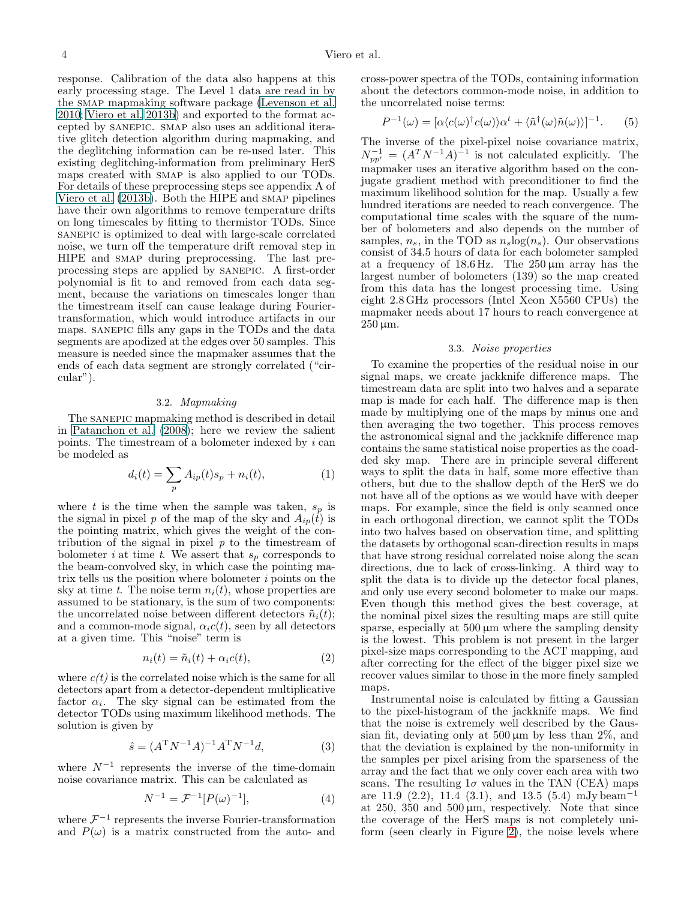response. Calibration of the data also happens at this early processing stage. The Level 1 data are read in by the SMAP mapmaking software package [\(Levenson et al.](#page-8-32) [2010;](#page-8-32) [Viero et al. 2013b](#page-9-1)) and exported to the format accepted by sanepic. smap also uses an additional iterative glitch detection algorithm during mapmaking, and the deglitching information can be re-used later. This existing deglitching-information from preliminary HerS maps created with smap is also applied to our TODs. For details of these preprocessing steps see appendix A of [Viero et al. \(2013b\)](#page-9-1). Both the HIPE and smap pipelines have their own algorithms to remove temperature drifts on long timescales by fitting to thermistor TODs. Since sanepic is optimized to deal with large-scale correlated noise, we turn off the temperature drift removal step in HIPE and smap during preprocessing. The last preprocessing steps are applied by sanepic. A first-order polynomial is fit to and removed from each data segment, because the variations on timescales longer than the timestream itself can cause leakage during Fouriertransformation, which would introduce artifacts in our maps. sanepic fills any gaps in the TODs and the data segments are apodized at the edges over 50 samples. This measure is needed since the mapmaker assumes that the ends of each data segment are strongly correlated ("circular").

# 3.2. Mapmaking

<span id="page-3-0"></span>The sanepic mapmaking method is described in detail in [Patanchon et al. \(2008](#page-8-30)); here we review the salient points. The timestream of a bolometer indexed by  $i$  can be modeled as

$$
d_i(t) = \sum_{p} A_{ip}(t)s_p + n_i(t),
$$
 (1)

where t is the time when the sample was taken,  $s_p$  is the signal in pixel p of the map of the sky and  $A_{ip}(\tilde{t})$  is the pointing matrix, which gives the weight of the contribution of the signal in pixel  $p$  to the timestream of bolometer *i* at time *t*. We assert that  $s_p$  corresponds to the beam-convolved sky, in which case the pointing matrix tells us the position where bolometer i points on the sky at time t. The noise term  $n_i(t)$ , whose properties are assumed to be stationary, is the sum of two components: the uncorrelated noise between different detectors  $\tilde{n}_i(t)$ ; and a common-mode signal,  $\alpha_i c(t)$ , seen by all detectors at a given time. This "noise" term is

$$
n_i(t) = \tilde{n}_i(t) + \alpha_i c(t), \qquad (2)
$$

where  $c(t)$  is the correlated noise which is the same for all detectors apart from a detector-dependent multiplicative factor  $\alpha_i$ . The sky signal can be estimated from the detector TODs using maximum likelihood methods. The solution is given by

$$
\hat{s} = (A^{\mathrm{T}} N^{-1} A)^{-1} A^{\mathrm{T}} N^{-1} d,\tag{3}
$$

where  $N^{-1}$  represents the inverse of the time-domain noise covariance matrix. This can be calculated as

$$
N^{-1} = \mathcal{F}^{-1}[P(\omega)^{-1}], \tag{4}
$$

where  $\mathcal{F}^{-1}$  represents the inverse Fourier-transformation and  $P(\omega)$  is a matrix constructed from the auto- and

cross-power spectra of the TODs, containing information about the detectors common-mode noise, in addition to the uncorrelated noise terms:

$$
P^{-1}(\omega) = [\alpha \langle c(\omega)^{\dagger} c(\omega) \rangle \alpha^{t} + \langle \tilde{n}^{\dagger}(\omega) \tilde{n}(\omega) \rangle]^{-1}.
$$
 (5)

The inverse of the pixel-pixel noise covariance matrix,  $N_{pp'}^{-1} = (A^T N^{-1} A)^{-1}$  is not calculated explicitly. The mapmaker uses an iterative algorithm based on the conjugate gradient method with preconditioner to find the maximum likelihood solution for the map. Usually a few hundred iterations are needed to reach convergence. The computational time scales with the square of the number of bolometers and also depends on the number of samples,  $n_s$ , in the TOD as  $n_s \log(n_s)$ . Our observations consist of 34.5 hours of data for each bolometer sampled at a frequency of  $18.6 \text{ Hz}$ . The  $250 \mu \text{m}$  array has the largest number of bolometers (139) so the map created from this data has the longest processing time. Using eight 2.8 GHz processors (Intel Xeon X5560 CPUs) the mapmaker needs about 17 hours to reach convergence at  $250 \,\mu m$ .

## 3.3. Noise properties

To examine the properties of the residual noise in our signal maps, we create jackknife difference maps. The timestream data are split into two halves and a separate map is made for each half. The difference map is then made by multiplying one of the maps by minus one and then averaging the two together. This process removes the astronomical signal and the jackknife difference map contains the same statistical noise properties as the coadded sky map. There are in principle several different ways to split the data in half, some more effective than others, but due to the shallow depth of the HerS we do not have all of the options as we would have with deeper maps. For example, since the field is only scanned once in each orthogonal direction, we cannot split the TODs into two halves based on observation time, and splitting the datasets by orthogonal scan-direction results in maps that have strong residual correlated noise along the scan directions, due to lack of cross-linking. A third way to split the data is to divide up the detector focal planes, and only use every second bolometer to make our maps. Even though this method gives the best coverage, at the nominal pixel sizes the resulting maps are still quite sparse, especially at  $500 \mu m$  where the sampling density is the lowest. This problem is not present in the larger pixel-size maps corresponding to the ACT mapping, and after correcting for the effect of the bigger pixel size we recover values similar to those in the more finely sampled maps.

Instrumental noise is calculated by fitting a Gaussian to the pixel-histogram of the jackknife maps. We find that the noise is extremely well described by the Gaussian fit, deviating only at  $500 \mu m$  by less than  $2\%$ , and that the deviation is explained by the non-uniformity in the samples per pixel arising from the sparseness of the array and the fact that we only cover each area with two scans. The resulting  $1\sigma$  values in the TAN (CEA) maps are 11.9  $(2.2)$ , 11.4  $(3.1)$ , and 13.5  $(5.4)$  mJy beam<sup>-1</sup> at  $250$ ,  $350$  and  $500 \mu m$ , respectively. Note that since the coverage of the HerS maps is not completely uniform (seen clearly in Figure [2\)](#page-2-2), the noise levels where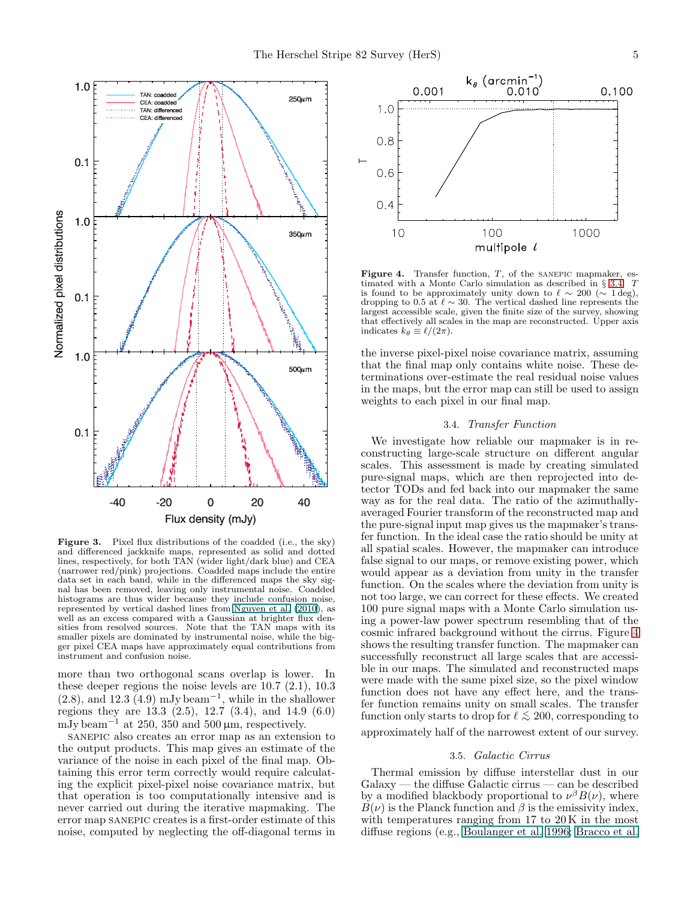

Figure 3. Pixel flux distributions of the coadded (i.e., the sky) and differenced jackknife maps, represented as solid and dotted lines, respectively, for both TAN (wider light/dark blue) and CEA (narrower red/pink) projections. Coadded maps include the entire data set in each band, while in the differenced maps the sky signal has been removed, leaving only instrumental noise. Coadded histograms are thus wider because they include confusion noise, represented by vertical dashed lines from [Nguyen et al. \(2010\)](#page-8-19), as well as an excess compared with a Gaussian at brighter flux densities from resolved sources. Note that the TAN maps with its smaller pixels are dominated by instrumental noise, while the bigger pixel CEA maps have approximately equal contributions from instrument and confusion noise.

more than two orthogonal scans overlap is lower. In these deeper regions the noise levels are 10.7 (2.1), 10.3  $(2.8)$ , and 12.3  $(4.9)$  mJy beam<sup>-1</sup>, while in the shallower regions they are  $13.3\ (2.5)$ ,  $12.7\ (3.4)$ , and  $14.9\ (6.0)$ mJy beam<sup>-1</sup> at 250, 350 and 500  $\mu$ m, respectively.

sanepic also creates an error map as an extension to the output products. This map gives an estimate of the variance of the noise in each pixel of the final map. Obtaining this error term correctly would require calculating the explicit pixel-pixel noise covariance matrix, but that operation is too computationally intensive and is never carried out during the iterative mapmaking. The error map SANEPIC creates is a first-order estimate of this noise, computed by neglecting the off-diagonal terms in



<span id="page-4-2"></span>**Figure 4.** Transfer function,  $T$ , of the SANEPIC mapmaker, estimated with a Monte Carlo simulation as described in § [3.4.](#page-4-1) T is found to be approximately unity down to  $\ell \sim 200 \ (\sim 1 \text{ deg}),$ dropping to 0.5 at  $\ell \sim 30$ . The vertical dashed line represents the largest accessible scale, given the finite size of the survey, showing that effectively all scales in the map are reconstructed. Upper axis indicates  $k_{\theta} \equiv \ell/(2\pi)$ .

the inverse pixel-pixel noise covariance matrix, assuming that the final map only contains white noise. These determinations over-estimate the real residual noise values in the maps, but the error map can still be used to assign weights to each pixel in our final map.

# 3.4. Transfer Function

<span id="page-4-1"></span>We investigate how reliable our mapmaker is in reconstructing large-scale structure on different angular scales. This assessment is made by creating simulated pure-signal maps, which are then reprojected into detector TODs and fed back into our mapmaker the same way as for the real data. The ratio of the azimuthallyaveraged Fourier transform of the reconstructed map and the pure-signal input map gives us the mapmaker's transfer function. In the ideal case the ratio should be unity at all spatial scales. However, the mapmaker can introduce false signal to our maps, or remove existing power, which would appear as a deviation from unity in the transfer function. On the scales where the deviation from unity is not too large, we can correct for these effects. We created 100 pure signal maps with a Monte Carlo simulation using a power-law power spectrum resembling that of the cosmic infrared background without the cirrus. Figure [4](#page-4-2) shows the resulting transfer function. The mapmaker can successfully reconstruct all large scales that are accessible in our maps. The simulated and reconstructed maps were made with the same pixel size, so the pixel window function does not have any effect here, and the transfer function remains unity on small scales. The transfer function only starts to drop for  $\ell \lesssim 200$ , corresponding to approximately half of the narrowest extent of our survey.

## 3.5. Galactic Cirrus

<span id="page-4-0"></span>Thermal emission by diffuse interstellar dust in our  $Galaxy$  — the diffuse Galactic cirrus — can be described by a modified blackbody proportional to  $\nu^{\beta}B(\nu)$ , where  $B(\nu)$  is the Planck function and  $\beta$  is the emissivity index, with temperatures ranging from 17 to 20 K in the most diffuse regions (e.g., [Boulanger et al. 1996;](#page-7-6) [Bracco et al.](#page-7-7)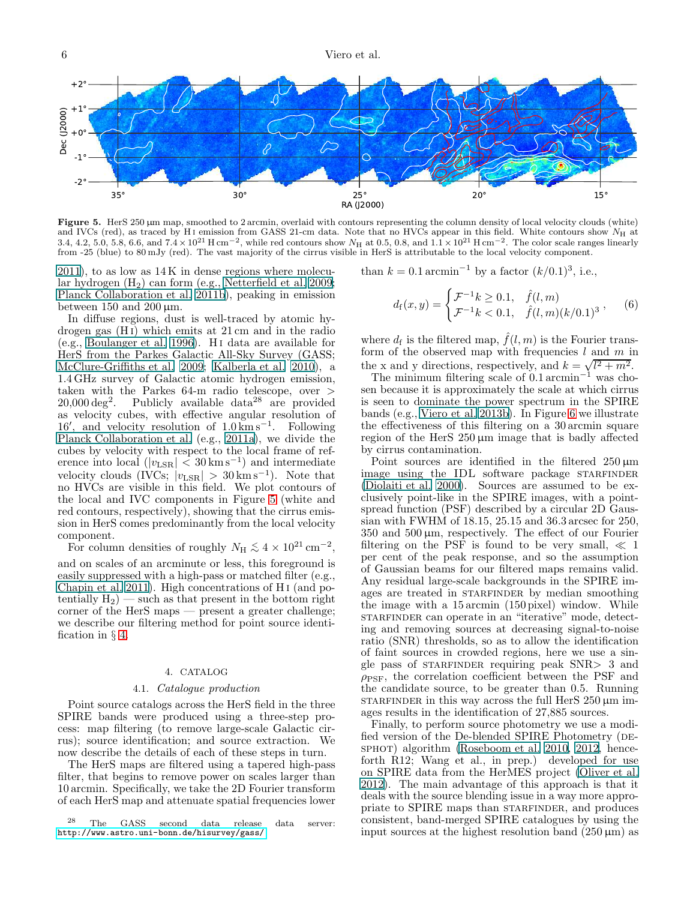

<span id="page-5-0"></span>Figure 5. HerS 250 µm map, smoothed to 2 arcmin, overlaid with contours representing the column density of local velocity clouds (white) and IVCs (red), as traced by H<sub>I</sub> emission from GASS 21-cm data. Note that no HVCs appear in this field. White contours show  $N_H$  at 3.4, 4.2, 5.0, 5.8, 6.6, and  $7.4 \times 10^{21}$  H cm<sup>-2</sup>, while red contours show  $N_H$  at 0.5, 0.8, and  $1.1 \times 10^{21}$  H cm<sup>-2</sup>. The color scale ranges linearly from -25 (blue) to 80 mJy (red). The vast majority of the cirrus visible in HerS is attributable to the local velocity component.

[2011\)](#page-7-7), to as low as 14 K in dense regions where molecular hydrogen  $(H_2)$  can form (e.g., [Netterfield et al. 2009;](#page-8-33) [Planck Collaboration et al. 2011b\)](#page-8-34), peaking in emission between 150 and 200  $\mu$ m.

In diffuse regions, dust is well-traced by atomic hydrogen gas (H i) which emits at 21 cm and in the radio (e.g., [Boulanger et al. 1996\)](#page-7-6). H i data are available for HerS from the Parkes Galactic All-Sky Survey (GASS; [McClure-Griffiths et al. 2009](#page-8-35); [Kalberla et al. 2010\)](#page-8-36), a 1.4 GHz survey of Galactic atomic hydrogen emission, taken with the Parkes 64-m radio telescope, over >  $20,000 \text{ deg}^2$ . Publicly available data<sup>28</sup> are provided as velocity cubes, with effective angular resolution of 16′ , and velocity resolution of 1.0 km s<sup>−</sup><sup>1</sup> . Following [Planck Collaboration et al.](#page-8-37) (e.g., [2011a\)](#page-8-37), we divide the cubes by velocity with respect to the local frame of reference into local  $(|v_{\text{LSR}}| < 30 \,\text{km s}^{-1})$  and intermediate velocity clouds (IVCs;  $|v_{\text{LSR}}| > 30 \,\text{km s}^{-1}$ ). Note that no HVCs are visible in this field. We plot contours of the local and IVC components in Figure [5](#page-5-0) (white and red contours, respectively), showing that the cirrus emission in HerS comes predominantly from the local velocity component.

For column densities of roughly  $N_{\rm H} \lesssim 4 \times 10^{21} \rm \, cm^{-2}$ , and on scales of an arcminute or less, this foreground is easily suppressed with a high-pass or matched filter (e.g., [Chapin et al. 2011\)](#page-7-8). High concentrations of H i (and potentially  $H_2$ ) — such as that present in the bottom right corner of the HerS maps — present a greater challenge; we describe our filtering method for point source identification in § [4.](#page-5-1)

### 4. CATALOG

### 4.1. Catalogue production

<span id="page-5-1"></span>Point source catalogs across the HerS field in the three SPIRE bands were produced using a three-step process: map filtering (to remove large-scale Galactic cirrus); source identification; and source extraction. We now describe the details of each of these steps in turn.

The HerS maps are filtered using a tapered high-pass filter, that begins to remove power on scales larger than 10 arcmin. Specifically, we take the 2D Fourier transform of each HerS map and attenuate spatial frequencies lower than  $k = 0.1 \arcsin^{-1}$  by a factor  $(k/0.1)^3$ , i.e.,

$$
d_{\rm f}(x,y) = \begin{cases} \mathcal{F}^{-1}k \ge 0.1, & \hat{f}(l,m) \\ \mathcal{F}^{-1}k < 0.1, & \hat{f}(l,m)(k/0.1)^3 \end{cases}, \quad (6)
$$

where  $d_f$  is the filtered map,  $\hat{f}(l,m)$  is the Fourier transform of the observed map with frequencies  $l$  and  $m$  in the x and y directions, respectively, and  $k = \sqrt{l^2 + m^2}$ .

The minimum filtering scale of  $0.1$  arcmin<sup>-1</sup> was chosen because it is approximately the scale at which cirrus is seen to dominate the power spectrum in the SPIRE bands (e.g., [Viero et al. 2013b\)](#page-9-1). In Figure [6](#page-7-9) we illustrate the effectiveness of this filtering on a 30 arcmin square region of the HerS  $250 \,\mu m$  image that is badly affected by cirrus contamination.

Point sources are identified in the filtered  $250 \,\mu m$ image using the IDL software package STARFINDER [\(Diolaiti et al. 2000\)](#page-8-38). Sources are assumed to be exclusively point-like in the SPIRE images, with a pointspread function (PSF) described by a circular 2D Gaussian with FWHM of 18.15, 25.15 and 36.3 arcsec for 250, 350 and 500 µm, respectively. The effect of our Fourier filtering on the PSF is found to be very small,  $\ll 1$ per cent of the peak response, and so the assumption of Gaussian beams for our filtered maps remains valid. Any residual large-scale backgrounds in the SPIRE images are treated in STARFINDER by median smoothing the image with a 15 arcmin (150 pixel) window. While starfinder can operate in an "iterative" mode, detecting and removing sources at decreasing signal-to-noise ratio (SNR) thresholds, so as to allow the identification of faint sources in crowded regions, here we use a single pass of STARFINDER requiring peak  $SNR > 3$  and  $\rho_{\rm PSF}$ , the correlation coefficient between the PSF and the candidate source, to be greater than 0.5. Running starfinder in this way across the full HerS  $250 \,\mu m$  images results in the identification of 27,885 sources.

Finally, to perform source photometry we use a modified version of the De-blended SPIRE Photometry (DE-sphot) algorithm [\(Roseboom et al. 2010,](#page-8-39) [2012,](#page-8-16) henceforth R12; Wang et al., in prep.) developed for use on SPIRE data from the HerMES project [\(Oliver et al.](#page-8-7) [2012\)](#page-8-7). The main advantage of this approach is that it deals with the source blending issue in a way more appropriate to SPIRE maps than STARFINDER, and produces consistent, band-merged SPIRE catalogues by using the input sources at the highest resolution band  $(250 \,\mu m)$  as

 $28$  The GASS second data release data server: <http://www.astro.uni-bonn.de/hisurvey/gass/>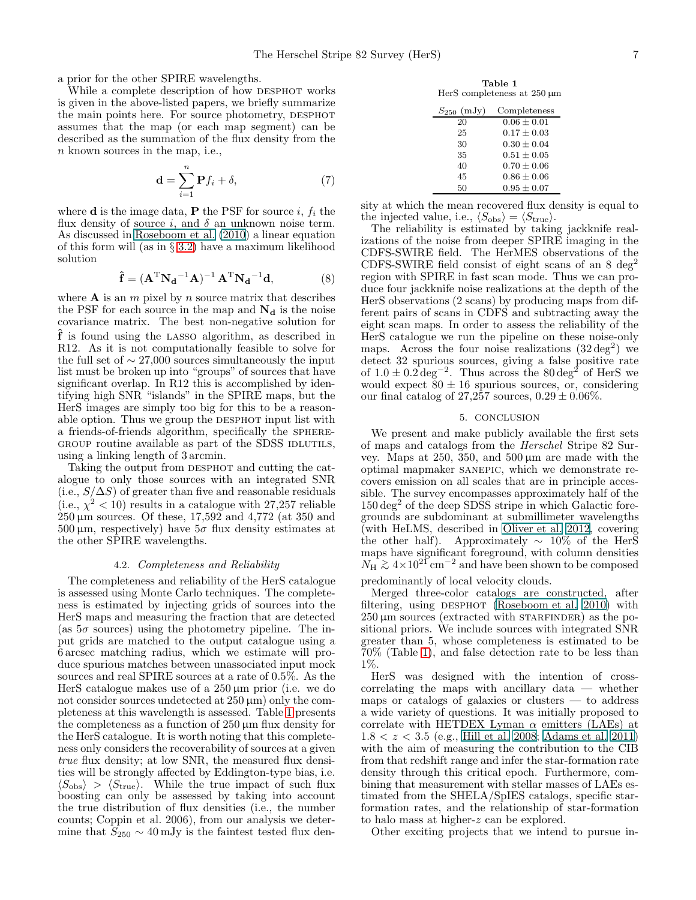a prior for the other SPIRE wavelengths.

While a complete description of how DESPHOT works is given in the above-listed papers, we briefly summarize the main points here. For source photometry, DESPHOT assumes that the map (or each map segment) can be described as the summation of the flux density from the n known sources in the map, i.e.,

$$
\mathbf{d} = \sum_{i=1}^{n} \mathbf{P} f_i + \delta,\tag{7}
$$

where **d** is the image data, **P** the PSF for source i,  $f_i$  the flux density of source i, and  $\delta$  an unknown noise term. As discussed in [Roseboom et al. \(2010\)](#page-8-39) a linear equation of this form will (as in § [3.2\)](#page-3-0) have a maximum likelihood solution

$$
\hat{\mathbf{f}} = (\mathbf{A}^{\mathrm{T}} \mathbf{N_d}^{-1} \mathbf{A})^{-1} \mathbf{A}^{\mathrm{T}} \mathbf{N_d}^{-1} \mathbf{d},\tag{8}
$$

where  $A$  is an  $m$  pixel by  $n$  source matrix that describes the PSF for each source in the map and  $N_d$  is the noise covariance matrix. The best non-negative solution for ˆf is found using the lasso algorithm, as described in R12. As it is not computationally feasible to solve for the full set of  $\sim$  27,000 sources simultaneously the input list must be broken up into "groups" of sources that have significant overlap. In R12 this is accomplished by identifying high SNR "islands" in the SPIRE maps, but the HerS images are simply too big for this to be a reasonable option. Thus we group the DESPHOT input list with a friends-of-friends algorithm, specifically the sphere-GROUP routine available as part of the SDSS IDLUTILS, using a linking length of 3 arcmin.

Taking the output from DESPHOT and cutting the catalogue to only those sources with an integrated SNR (i.e.,  $S/\Delta S$ ) of greater than five and reasonable residuals (i.e.,  $\chi^2$  < 10) results in a catalogue with 27,257 reliable  $250 \,\mu \text{m}$  sources. Of these,  $17,592$  and  $4,772$  (at 350 and  $500 \,\mu \text{m}$ , respectively) have  $5\sigma$  flux density estimates at the other SPIRE wavelengths.

#### 4.2. Completeness and Reliability

The completeness and reliability of the HerS catalogue is assessed using Monte Carlo techniques. The completeness is estimated by injecting grids of sources into the HerS maps and measuring the fraction that are detected (as  $5\sigma$  sources) using the photometry pipeline. The input grids are matched to the output catalogue using a 6 arcsec matching radius, which we estimate will produce spurious matches between unassociated input mock sources and real SPIRE sources at a rate of 0.5%. As the HerS catalogue makes use of a  $250 \,\mu m$  prior (i.e. we do not consider sources undetected at  $250 \,\mu m$ ) only the completeness at this wavelength is assessed. Table [1](#page-6-0) presents the completeness as a function of 250 µm flux density for the HerS catalogue. It is worth noting that this completeness only considers the recoverability of sources at a given true flux density; at low SNR, the measured flux densities will be strongly affected by Eddington-type bias, i.e.  $\langle S_{\text{obs}} \rangle$  >  $\langle S_{\text{true}} \rangle$ . While the true impact of such flux boosting can only be assessed by taking into account the true distribution of flux densities (i.e., the number counts; Coppin et al. 2006), from our analysis we determine that  $S_{250} \sim 40 \,\mathrm{mJy}$  is the faintest tested flux den-

Table 1 HerS completeness at 250 µm

<span id="page-6-0"></span>

| $S_{250}$ (mJy) | Completeness    |
|-----------------|-----------------|
| 20              | $0.06 \pm 0.01$ |
| 25              | $0.17 + 0.03$   |
| 30              | $0.30 + 0.04$   |
| 35              | $0.51 + 0.05$   |
| 40              | $0.70 + 0.06$   |
| 45              | $0.86 \pm 0.06$ |
| 50              | $0.95 \pm 0.07$ |

sity at which the mean recovered flux density is equal to the injected value, i.e.,  $\langle S_{\text{obs}} \rangle = \langle S_{\text{true}} \rangle$ .

The reliability is estimated by taking jackknife realizations of the noise from deeper SPIRE imaging in the CDFS-SWIRE field. The HerMES observations of the CDFS-SWIRE field consist of eight scans of an  $8 \text{ deg}^2$ region with SPIRE in fast scan mode. Thus we can produce four jackknife noise realizations at the depth of the HerS observations (2 scans) by producing maps from different pairs of scans in CDFS and subtracting away the eight scan maps. In order to assess the reliability of the HerS catalogue we run the pipeline on these noise-only maps. Across the four noise realizations  $(32 \text{ deg}^2)$  we detect 32 spurious sources, giving a false positive rate of  $1.0 \pm 0.2 \text{ deg}^{-2}$ . Thus across the 80 deg<sup>2</sup> of HerS we would expect  $80 \pm 16$  spurious sources, or, considering our final catalog of 27,257 sources,  $0.29 \pm 0.06\%$ .

## 5. CONCLUSION

We present and make publicly available the first sets of maps and catalogs from the Herschel Stripe 82 Survey. Maps at 250, 350, and 500 µm are made with the optimal mapmaker sanepic, which we demonstrate recovers emission on all scales that are in principle accessible. The survey encompasses approximately half of the  $150 \text{ deg}^2$  of the deep SDSS stripe in which Galactic foregrounds are subdominant at submillimeter wavelengths (with HeLMS, described in [Oliver et al. 2012,](#page-8-7) covering the other half). Approximately  $\sim 10\%$  of the HerS maps have significant foreground, with column densities  $N_{\rm H} \gtrsim 4 \times 10^{21} \rm \, cm^{-2}$  and have been shown to be composed

predominantly of local velocity clouds.

Merged three-color catalogs are constructed, after filtering, using DESPHOT [\(Roseboom et al. 2010\)](#page-8-39) with  $250 \mu m$  sources (extracted with  $STARFINDER$ ) as the positional priors. We include sources with integrated SNR greater than 5, whose completeness is estimated to be 70% (Table [1\)](#page-6-0), and false detection rate to be less than 1%.

HerS was designed with the intention of crosscorrelating the maps with ancillary data — whether maps or catalogs of galaxies or clusters — to address a wide variety of questions. It was initially proposed to correlate with HETDEX Lyman  $\alpha$  emitters (LAEs) at  $1.8 < z < 3.5$  (e.g., [Hill et al. 2008](#page-8-23); [Adams et al. 2011](#page-7-10)) with the aim of measuring the contribution to the CIB from that redshift range and infer the star-formation rate density through this critical epoch. Furthermore, combining that measurement with stellar masses of LAEs estimated from the SHELA/SpIES catalogs, specific starformation rates, and the relationship of star-formation to halo mass at higher-z can be explored.

Other exciting projects that we intend to pursue in-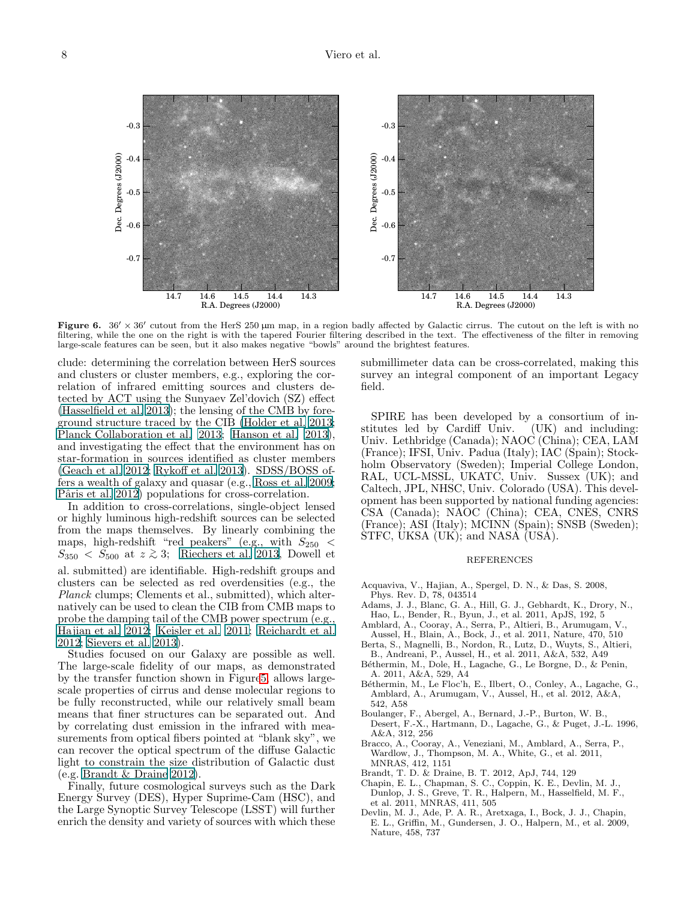Figure 6.  $36' \times 36'$  cutout from the HerS 250  $\mu$ m map, in a region badly affected by Galactic cirrus. The cutout on the left is with no filtering, while the one on the right is with the tapered Fourier filtering described in the text. The effectiveness of the filter in removing large-scale features can be seen, but it also makes negative "bowls" around the brightest features.

<span id="page-7-9"></span>clude: determining the correlation between HerS sources and clusters or cluster members, e.g., exploring the correlation of infrared emitting sources and clusters detected by ACT using the Sunyaev Zel'dovich (SZ) effect [\(Hasselfield et al. 2013\)](#page-8-40); the lensing of the CMB by foreground structure traced by the CIB [\(Holder et al. 2013;](#page-8-41) [Planck Collaboration et al. 2013;](#page-8-42) [Hanson et al. 2013\)](#page-8-43), and investigating the effect that the environment has on star-formation in sources identified as cluster members [\(Geach et al. 2012;](#page-8-44) [Rykoff et al. 2013\)](#page-8-45). SDSS/BOSS offers a wealth of galaxy and quasar (e.g., [Ross et al. 2009;](#page-8-46) Pâris et al. 2012) populations for cross-correlation.

In addition to cross-correlations, single-object lensed or highly luminous high-redshift sources can be selected from the maps themselves. By linearly combining the maps, high-redshift "red peakers" (e.g., with  $S_{250}$  <  $S_{350} < S_{500}$  at  $z \gtrsim 3$ ; [Riechers et al. 2013,](#page-8-48) Dowell et al. submitted) are identifiable. High-redshift groups and clusters can be selected as red overdensities (e.g., the Planck clumps; Clements et al., submitted), which alternatively can be used to clean the CIB from CMB maps to probe the damping tail of the CMB power spectrum (e.g., [Hajian et al. 2012;](#page-8-49) [Keisler et al. 2011](#page-8-50); [Reichardt et al.](#page-8-51) [2012;](#page-8-51) [Sievers et al. 2013\)](#page-8-27).

Studies focused on our Galaxy are possible as well. The large-scale fidelity of our maps, as demonstrated by the transfer function shown in Figur[e5,](#page-5-0) allows largescale properties of cirrus and dense molecular regions to be fully reconstructed, while our relatively small beam means that finer structures can be separated out. And by correlating dust emission in the infrared with measurements from optical fibers pointed at "blank sky", we can recover the optical spectrum of the diffuse Galactic light to constrain the size distribution of Galactic dust (e.g. [Brandt & Draine 2012\)](#page-7-11).

Finally, future cosmological surveys such as the Dark Energy Survey (DES), Hyper Suprime-Cam (HSC), and the Large Synoptic Survey Telescope (LSST) will further enrich the density and variety of sources with which these submillimeter data can be cross-correlated, making this survey an integral component of an important Legacy field.

SPIRE has been developed by a consortium of institutes led by Cardiff Univ. (UK) and including: Univ. Lethbridge (Canada); NAOC (China); CEA, LAM (France); IFSI, Univ. Padua (Italy); IAC (Spain); Stockholm Observatory (Sweden); Imperial College London, RAL, UCL-MSSL, UKATC, Univ. Sussex (UK); and Caltech, JPL, NHSC, Univ. Colorado (USA). This development has been supported by national funding agencies: CSA (Canada); NAOC (China); CEA, CNES, CNRS (France); ASI (Italy); MCINN (Spain); SNSB (Sweden); STFC, UKSA (UK); and NASA (USA).

## REFERENCES

- <span id="page-7-5"></span>Acquaviva, V., Hajian, A., Spergel, D. N., & Das, S. 2008, Phys. Rev. D, 78, 043514
- <span id="page-7-10"></span>Adams, J. J., Blanc, G. A., Hill, G. J., Gebhardt, K., Drory, N., Hao, L., Bender, R., Byun, J., et al. 2011, ApJS, 192, 5
- <span id="page-7-4"></span>Amblard, A., Cooray, A., Serra, P., Altieri, B., Arumugam, V., Aussel, H., Blain, A., Bock, J., et al. 2011, Nature, 470, 510
- <span id="page-7-1"></span>Berta, S., Magnelli, B., Nordon, R., Lutz, D., Wuyts, S., Altieri, B., Andreani, P., Aussel, H., et al. 2011, A&A, 532, A49
- <span id="page-7-3"></span>Béthermin, M., Dole, H., Lagache, G., Le Borgne, D., & Penin, A. 2011, A&A, 529, A4
- <span id="page-7-2"></span>Béthermin, M., Le Floc'h, E., Ilbert, O., Conley, A., Lagache, G., Amblard, A., Arumugam, V., Aussel, H., et al. 2012, A&A, 542, A58
- <span id="page-7-6"></span>Boulanger, F., Abergel, A., Bernard, J.-P., Burton, W. B., Desert, F.-X., Hartmann, D., Lagache, G., & Puget, J.-L. 1996, A&A, 312, 256
- <span id="page-7-7"></span>Bracco, A., Cooray, A., Veneziani, M., Amblard, A., Serra, P., Wardlow, J., Thompson, M. A., White, G., et al. 2011, MNRAS, 412, 1151
- <span id="page-7-11"></span>Brandt, T. D. & Draine, B. T. 2012, ApJ, 744, 129
- <span id="page-7-8"></span>Chapin, E. L., Chapman, S. C., Coppin, K. E., Devlin, M. J., Dunlop, J. S., Greve, T. R., Halpern, M., Hasselfield, M. F., et al. 2011, MNRAS, 411, 505
- <span id="page-7-0"></span>Devlin, M. J., Ade, P. A. R., Aretxaga, I., Bock, J. J., Chapin, E. L., Griffin, M., Gundersen, J. O., Halpern, M., et al. 2009, Nature, 458, 737

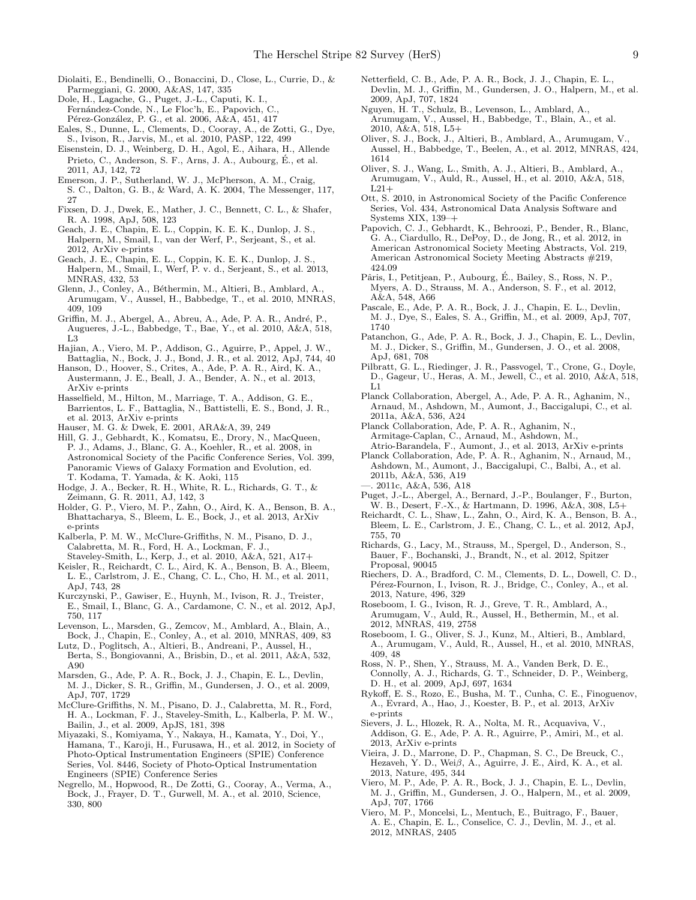- <span id="page-8-38"></span>Diolaiti, E., Bendinelli, O., Bonaccini, D., Close, L., Currie, D., & Parmeggiani, G. 2000, A&AS, 147, 335
- <span id="page-8-3"></span>Dole, H., Lagache, G., Puget, J.-L., Caputi, K. I.,
- Fernández-Conde, N., Le Floc'h, E., Papovich, C.
- Pérez-González, P. G., et al. 2006, A&A, 451, 417
- <span id="page-8-6"></span>Eales, S., Dunne, L., Clements, D., Cooray, A., de Zotti, G., Dye, S., Ivison, R., Jarvis, M., et al. 2010, PASP, 122, 499
- <span id="page-8-20"></span>Eisenstein, D. J., Weinberg, D. H., Agol, E., Aihara, H., Allende Prieto, C., Anderson, S. F., Arns, J. A., Aubourg, E., et al. ´ 2011, AJ, 142, 72
- <span id="page-8-21"></span>Emerson, J. P., Sutherland, W. J., McPherson, A. M., Craig,
- S. C., Dalton, G. B., & Ward, A. K. 2004, The Messenger, 117, 27
- <span id="page-8-1"></span>Fixsen, D. J., Dwek, E., Mather, J. C., Bennett, C. L., & Shafer, R. A. 1998, ApJ, 508, 123
- <span id="page-8-44"></span>Geach, J. E., Chapin, E. L., Coppin, K. E. K., Dunlop, J. S., Halpern, M., Smail, I., van der Werf, P., Serjeant, S., et al. 2012, ArXiv e-prints
- <span id="page-8-9"></span>Geach, J. E., Chapin, E. L., Coppin, K. E. K., Dunlop, J. S., Halpern, M., Smail, I., Werf, P. v. d., Serjeant, S., et al. 2013, MNRAS, 432, 53
- <span id="page-8-11"></span>Glenn, J., Conley, A., Béthermin, M., Altieri, B., Amblard, A. Arumugam, V., Aussel, H., Babbedge, T., et al. 2010, MNRAS, 409, 109
- <span id="page-8-17"></span>Griffin, M. J., Abergel, A., Abreu, A., Ade, P. A. R., André, P., Augueres, J.-L., Babbedge, T., Bae, Y., et al. 2010, A&A, 518, L3
- <span id="page-8-49"></span>Hajian, A., Viero, M. P., Addison, G., Aguirre, P., Appel, J. W., Battaglia, N., Bock, J. J., Bond, J. R., et al. 2012, ApJ, 744, 40
- <span id="page-8-43"></span>Hanson, D., Hoover, S., Crites, A., Ade, P. A. R., Aird, K. A., Austermann, J. E., Beall, J. A., Bender, A. N., et al. 2013, ArXiv e-prints
- <span id="page-8-40"></span>Hasselfield, M., Hilton, M., Marriage, T. A., Addison, G. E., Barrientos, L. F., Battaglia, N., Battistelli, E. S., Bond, J. R., et al. 2013, ArXiv e-prints
- <span id="page-8-2"></span>Hauser, M. G. & Dwek, E. 2001, ARA&A, 39, 249
- <span id="page-8-23"></span>Hill, G. J., Gebhardt, K., Komatsu, E., Drory, N., MacQueen, P. J., Adams, J., Blanc, G. A., Koehler, R., et al. 2008, in Astronomical Society of the Pacific Conference Series, Vol. 399, Panoramic Views of Galaxy Formation and Evolution, ed. T. Kodama, T. Yamada, & K. Aoki, 115
- <span id="page-8-22"></span>Hodge, J. A., Becker, R. H., White, R. L., Richards, G. T., & Zeimann, G. R. 2011, AJ, 142, 3
- <span id="page-8-41"></span>Holder, G. P., Viero, M. P., Zahn, O., Aird, K. A., Benson, B. A., Bhattacharya, S., Bleem, L. E., Bock, J., et al. 2013, ArXiv e-prints
- <span id="page-8-36"></span>Kalberla, P. M. W., McClure-Griffiths, N. M., Pisano, D. J., Calabretta, M. R., Ford, H. A., Lockman, F. J., Staveley-Smith, L., Kerp, J., et al. 2010, A&A, 521, A17+
- <span id="page-8-50"></span>Keisler, R., Reichardt, C. L., Aird, K. A., Benson, B. A., Bleem, L. E., Carlstrom, J. E., Chang, C. L., Cho, H. M., et al. 2011, ApJ, 743, 28
- <span id="page-8-15"></span>Kurczynski, P., Gawiser, E., Huynh, M., Ivison, R. J., Treister, E., Smail, I., Blanc, G. A., Cardamone, C. N., et al. 2012, ApJ, 750, 117
- <span id="page-8-32"></span>Levenson, L., Marsden, G., Zemcov, M., Amblard, A., Blain, A., Bock, J., Chapin, E., Conley, A., et al. 2010, MNRAS, 409, 83
- <span id="page-8-8"></span>Lutz, D., Poglitsch, A., Altieri, B., Andreani, P., Aussel, H., Berta, S., Bongiovanni, A., Brisbin, D., et al. 2011, A&A, 532, A90
- <span id="page-8-4"></span>Marsden, G., Ade, P. A. R., Bock, J. J., Chapin, E. L., Devlin, M. J., Dicker, S. R., Griffin, M., Gundersen, J. O., et al. 2009, ApJ, 707, 1729
- <span id="page-8-35"></span>McClure-Griffiths, N. M., Pisano, D. J., Calabretta, M. R., Ford, H. A., Lockman, F. J., Staveley-Smith, L., Kalberla, P. M. W., Bailin, J., et al. 2009, ApJS, 181, 398
- <span id="page-8-26"></span>Miyazaki, S., Komiyama, Y., Nakaya, H., Kamata, Y., Doi, Y., Hamana, T., Karoji, H., Furusawa, H., et al. 2012, in Society of Photo-Optical Instrumentation Engineers (SPIE) Conference Series, Vol. 8446, Society of Photo-Optical Instrumentation Engineers (SPIE) Conference Series
- <span id="page-8-28"></span>Negrello, M., Hopwood, R., De Zotti, G., Cooray, A., Verma, A., Bock, J., Frayer, D. T., Gurwell, M. A., et al. 2010, Science, 330, 800
- <span id="page-8-33"></span>Netterfield, C. B., Ade, P. A. R., Bock, J. J., Chapin, E. L., Devlin, M. J., Griffin, M., Gundersen, J. O., Halpern, M., et al. 2009, ApJ, 707, 1824
- <span id="page-8-19"></span>Nguyen, H. T., Schulz, B., Levenson, L., Amblard, A., Arumugam, V., Aussel, H., Babbedge, T., Blain, A., et al. 2010, A&A, 518, L5+
- <span id="page-8-7"></span>Oliver, S. J., Bock, J., Altieri, B., Amblard, A., Arumugam, V., Aussel, H., Babbedge, T., Beelen, A., et al. 2012, MNRAS, 424, 1614
- <span id="page-8-10"></span>Oliver, S. J., Wang, L., Smith, A. J., Altieri, B., Amblard, A., Arumugam, V., Auld, R., Aussel, H., et al. 2010, A&A, 518,  $L21+$
- <span id="page-8-31"></span>Ott, S. 2010, in Astronomical Society of the Pacific Conference Series, Vol. 434, Astronomical Data Analysis Software and Systems XIX, 139–+
- <span id="page-8-24"></span>Papovich, C. J., Gebhardt, K., Behroozi, P., Bender, R., Blanc, G. A., Ciardullo, R., DePoy, D., de Jong, R., et al. 2012, in American Astronomical Society Meeting Abstracts, Vol. 219, American Astronomical Society Meeting Abstracts #219, 424.09
- <span id="page-8-47"></span>Pâris, I., Petitjean, P., Aubourg, É., Bailey, S., Ross, N. P., Myers, A. D., Strauss, M. A., Anderson, S. F., et al. 2012, A&A, 548, A66
- <span id="page-8-5"></span>Pascale, E., Ade, P. A. R., Bock, J. J., Chapin, E. L., Devlin, M. J., Dye, S., Eales, S. A., Griffin, M., et al. 2009, ApJ, 707, 1740
- <span id="page-8-30"></span>Patanchon, G., Ade, P. A. R., Bock, J. J., Chapin, E. L., Devlin, M. J., Dicker, S., Griffin, M., Gundersen, J. O., et al. 2008, ApJ, 681, 708
- <span id="page-8-18"></span>Pilbratt, G. L., Riedinger, J. R., Passvogel, T., Crone, G., Doyle, D., Gageur, U., Heras, A. M., Jewell, C., et al. 2010, A&A, 518, L1
- <span id="page-8-37"></span>Planck Collaboration, Abergel, A., Ade, P. A. R., Aghanim, N., Arnaud, M., Ashdown, M., Aumont, J., Baccigalupi, C., et al. 2011a, A&A, 536, A24
- <span id="page-8-42"></span>Planck Collaboration, Ade, P. A. R., Aghanim, N., Armitage-Caplan, C., Arnaud, M., Ashdown, M., Atrio-Barandela, F., Aumont, J., et al. 2013, ArXiv e-prints
- <span id="page-8-34"></span>Planck Collaboration, Ade, P. A. R., Aghanim, N., Arnaud, M., Ashdown, M., Aumont, J., Baccigalupi, C., Balbi, A., et al. 2011b, A&A, 536, A19 —. 2011c, A&A, 536, A18
- <span id="page-8-14"></span><span id="page-8-0"></span>Puget, J.-L., Abergel, A., Bernard, J.-P., Boulanger, F., Burton, W. B., Desert, F.-X., & Hartmann, D. 1996, A&A, 308, L5+
- <span id="page-8-51"></span>Reichardt, C. L., Shaw, L., Zahn, O., Aird, K. A., Benson, B. A., Bleem, L. E., Carlstrom, J. E., Chang, C. L., et al. 2012, ApJ, 755, 70
- <span id="page-8-25"></span>Richards, G., Lacy, M., Strauss, M., Spergel, D., Anderson, S., Bauer, F., Bochanski, J., Brandt, N., et al. 2012, Spitzer Proposal, 90045
- <span id="page-8-48"></span>Riechers, D. A., Bradford, C. M., Clements, D. L., Dowell, C. D., Pérez-Fournon, I., Ivison, R. J., Bridge, C., Conley, A., et al. 2013, Nature, 496, 329
- <span id="page-8-16"></span>Roseboom, I. G., Ivison, R. J., Greve, T. R., Amblard, A., Arumugam, V., Auld, R., Aussel, H., Bethermin, M., et al. 2012, MNRAS, 419, 2758
- <span id="page-8-39"></span>Roseboom, I. G., Oliver, S. J., Kunz, M., Altieri, B., Amblard, A., Arumugam, V., Auld, R., Aussel, H., et al. 2010, MNRAS, 409, 48
- <span id="page-8-46"></span>Ross, N. P., Shen, Y., Strauss, M. A., Vanden Berk, D. E., Connolly, A. J., Richards, G. T., Schneider, D. P., Weinberg, D. H., et al. 2009, ApJ, 697, 1634
- <span id="page-8-45"></span>Rykoff, E. S., Rozo, E., Busha, M. T., Cunha, C. E., Finoguenov, A., Evrard, A., Hao, J., Koester, B. P., et al. 2013, ArXiv e-prints
- <span id="page-8-27"></span>Sievers, J. L., Hlozek, R. A., Nolta, M. R., Acquaviva, V., Addison, G. E., Ade, P. A. R., Aguirre, P., Amiri, M., et al. 2013, ArXiv e-prints
- <span id="page-8-29"></span>Vieira, J. D., Marrone, D. P., Chapman, S. C., De Breuck, C., Hezaveh, Y. D., Wei $\beta$ , A., Aguirre, J. E., Aird, K. A., et al. 2013, Nature, 495, 344
- <span id="page-8-13"></span>Viero, M. P., Ade, P. A. R., Bock, J. J., Chapin, E. L., Devlin, M. J., Griffin, M., Gundersen, J. O., Halpern, M., et al. 2009, ApJ, 707, 1766
- <span id="page-8-12"></span>Viero, M. P., Moncelsi, L., Mentuch, E., Buitrago, F., Bauer, A. E., Chapin, E. L., Conselice, C. J., Devlin, M. J., et al. 2012, MNRAS, 2405